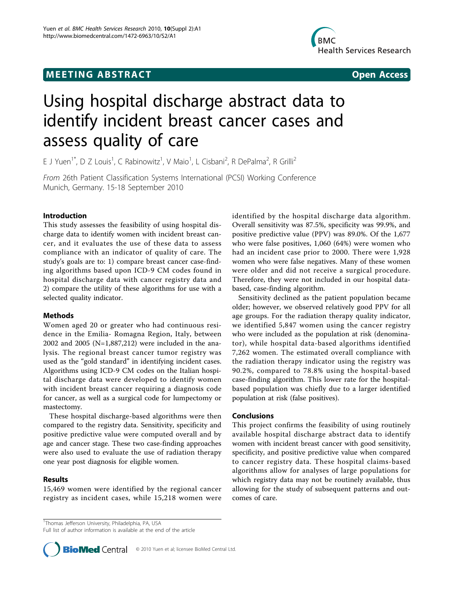## **MEETING ABSTRACT CONSUMING ABSTRACT**



# Using hospital discharge abstract data to identify incident breast cancer cases and assess quality of care

E J Yuen<sup>1\*</sup>, D Z Louis<sup>1</sup>, C Rabinowitz<sup>1</sup>, V Maio<sup>1</sup>, L Cisbani<sup>2</sup>, R DePalma<sup>2</sup>, R Grilli<sup>2</sup>

From 26th Patient Classification Systems International (PCSI) Working Conference Munich, Germany. 15-18 September 2010

### Introduction

This study assesses the feasibility of using hospital discharge data to identify women with incident breast cancer, and it evaluates the use of these data to assess compliance with an indicator of quality of care. The study's goals are to: 1) compare breast cancer case-finding algorithms based upon ICD-9 CM codes found in hospital discharge data with cancer registry data and 2) compare the utility of these algorithms for use with a selected quality indicator.

### Methods

Women aged 20 or greater who had continuous residence in the Emilia- Romagna Region, Italy, between 2002 and 2005 (N=1,887,212) were included in the analysis. The regional breast cancer tumor registry was used as the "gold standard" in identifying incident cases. Algorithms using ICD-9 CM codes on the Italian hospital discharge data were developed to identify women with incident breast cancer requiring a diagnosis code for cancer, as well as a surgical code for lumpectomy or mastectomy.

These hospital discharge-based algorithms were then compared to the registry data. Sensitivity, specificity and positive predictive value were computed overall and by age and cancer stage. These two case-finding approaches were also used to evaluate the use of radiation therapy one year post diagnosis for eligible women.

### Results

15,469 women were identified by the regional cancer registry as incident cases, while 15,218 women were identified by the hospital discharge data algorithm. Overall sensitivity was 87.5%, specificity was 99.9%, and positive predictive value (PPV) was 89.0%. Of the 1,677 who were false positives, 1,060 (64%) were women who had an incident case prior to 2000. There were 1,928 women who were false negatives. Many of these women were older and did not receive a surgical procedure. Therefore, they were not included in our hospital databased, case-finding algorithm.

Sensitivity declined as the patient population became older; however, we observed relatively good PPV for all age groups. For the radiation therapy quality indicator, we identified 5,847 women using the cancer registry who were included as the population at risk (denominator), while hospital data-based algorithms identified 7,262 women. The estimated overall compliance with the radiation therapy indicator using the registry was 90.2%, compared to 78.8% using the hospital-based case-finding algorithm. This lower rate for the hospitalbased population was chiefly due to a larger identified population at risk (false positives).

### Conclusions

This project confirms the feasibility of using routinely available hospital discharge abstract data to identify women with incident breast cancer with good sensitivity, specificity, and positive predictive value when compared to cancer registry data. These hospital claims-based algorithms allow for analyses of large populations for which registry data may not be routinely available, thus allowing for the study of subsequent patterns and outcomes of care.

Full list of author information is available at the end of the article



<sup>&</sup>lt;sup>1</sup>Thomas Jefferson University, Philadelphia, PA, USA